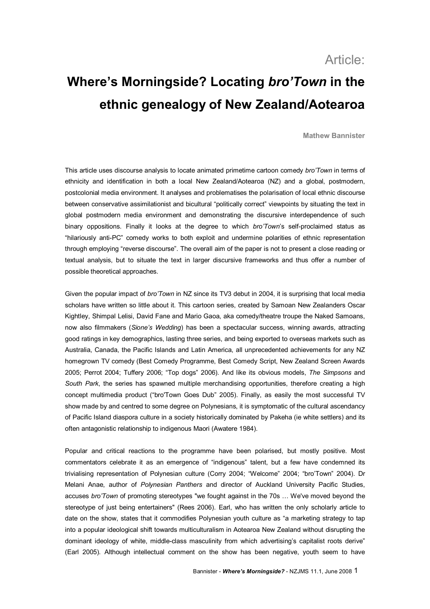# Article:

# **Where's Morningside? Locating** *bro'Town* **in the ethnic genealogy of New Zealand/Aotearoa**

**Mathew Bannister**

This article uses discourse analysis to locate animated primetime cartoon comedy *bro'Town* in terms of ethnicity and identification in both a local New Zealand/Aotearoa (NZ) and a qlobal, postmodern, postcolonial media environment. It analyses and problematises the polarisation of local ethnic discourse between conservative assimilationist and bicultural "politically correct" viewpoints by situating the text in global postmodern media environment and demonstrating the discursive interdependence of such binary oppositions. Finally it looks at the degree to which *bro'Town's* self-proclaimed status as "hilariously anti-PC" comedy works to both exploit and undermine polarities of ethnic representation through employing "reverse discourse". The overall aim of the paper is not to present a close reading or textual analysis, but to situate the text in larger discursive frameworks and thus offer a number of possible theoretical approaches.

Given the popular impact of *bro'Town* in NZ since its TV3 debut in 2004, it is surprising that local media scholars have written so little about it. This cartoon series, created by Samoan New Zealanders Oscar Kightley, Shimpal Lelisi, David Fane and Mario Gaoa, aka comedy/theatre troupe the Naked Samoans, now also filmmakers (*Sione's Wedding*) has been a spectacular success, winning awards, attracting good ratings in key demographics, lasting three series, and being exported to overseas markets such as Australia, Canada, the Pacific Islands and Latin America, all unprecedented achievements for any NZ homegrown TV comedy (Best Comedy Programme, Best Comedy Script, New Zealand Screen Awards 2005; Perrot 2004; Tuffery 2006; "Top dogs" 2006). And like its obvious models, *The Simpsons* and South Park, the series has spawned multiple merchandising opportunities, therefore creating a high concept multimedia product ("bro'Town Goes Dub" 2005). Finally, as easily the most successful TV show made by and centred to some degree on Polynesians, it is symptomatic of the cultural ascendancy of Pacific Island diaspora culture in a society historically dominated by Pakeha (ie white settlers) and its often antagonistic relationship to indigenous Maori (Awatere 1984).

Popular and critical reactions to the programme have been polarised, but mostly positive. Most commentators celebrate it as an emergence of "indigenous" talent, but a few have condemned its trivialising representation of Polynesian culture (Corry 2004; "Welcome" 2004; "bro'Town" 2004). Dr Melani Anae, author of *Polynesian Panthers* and director of Auckland University Pacific Studies, accuses *bro'Town* of promoting stereotypes "we fought against in the 70s … We've moved beyond the stereotype of just being entertainers" (Rees 2006). Earl, who has written the only scholarly article to date on the show, states that it commodifies Polynesian youth culture as "a marketing strategy to tap into a popular ideological shift towards multiculturalism in Aotearoa New Zealand without disrupting the dominant ideology of white, middle-class masculinity from which advertising's capitalist roots derive" (Earl 2005). Although intellectual comment on the show has been negative, youth seem to have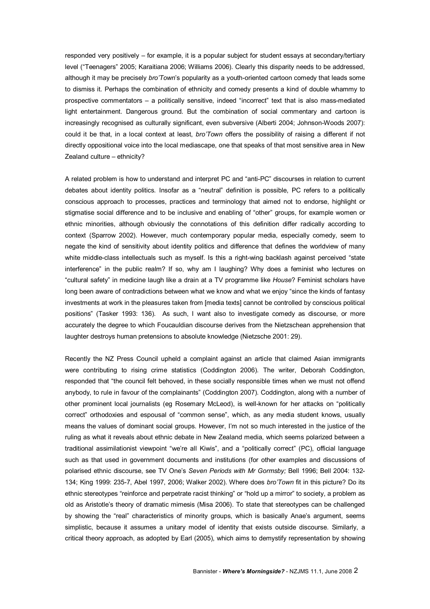responded very positively – for example, it is a popular subject for student essays at secondary/tertiary level ("Teenagers" 2005; Karaitiana 2006; Williams 2006). Clearly this disparity needs to be addressed, although it may be precisely *bro'Town's* popularity as a youth-oriented cartoon comedy that leads some to dismiss it. Perhaps the combination of ethnicity and comedy presents a kind of double whammy to prospective commentators – a politically sensitive, indeed "incorrect" text that is also massmediated light entertainment. Dangerous ground. But the combination of social commentary and cartoon is increasingly recognised as culturally significant, even subversive (Alberti 2004; Johnson-Woods 2007): could it be that, in a local context at least, *bro'Town* offers the possibility of raising a different if not directly oppositional voice into the local mediascape, one that speaks of that most sensitive area in New Zealand culture – ethnicity?

A related problem is how to understand and interpret PC and "anti-PC" discourses in relation to current debates about identity politics. Insofar as a "neutral" definition is possible, PC refers to a politically conscious approach to processes, practices and terminology that aimed not to endorse, highlight or stigmatise social difference and to be inclusive and enabling of "other" groups, for example women or ethnic minorities, although obviously the connotations of this definition differ radically according to context (Sparrow 2002). However, much contemporary popular media, especially comedy, seem to negate the kind of sensitivity about identity politics and difference that defines the worldview of many white middle-class intellectuals such as myself. Is this a right-wing backlash against perceived "state interference" in the public realm? If so, why am I laughing? Why does a feminist who lectures on "cultural safety" in medicine laugh like a drain at a TV programme like *House*? Feminist scholars have long been aware of contradictions between what we know and what we enjoy "since the kinds of fantasy investments at work in the pleasures taken from [media texts] cannot be controlled by conscious political positions" (Tasker 1993: 136). As such, I want also to investigate comedy as discourse, or more accurately the degree to which Foucauldian discourse derives from the Nietzschean apprehension that laughter destroys human pretensions to absolute knowledge (Nietzsche 2001: 29).

Recently the NZ Press Council upheld a complaint against an article that claimed Asian immigrants were contributing to rising crime statistics (Coddington 2006). The writer, Deborah Coddington, responded that "the council felt behoved, in these socially responsible times when we must not offend anybody, to rule in favour of the complainants" (Coddington 2007). Coddington, along with a number of other prominent local journalists (eg Rosemary McLeod), is wellknown for her attacks on "politically correct" orthodoxies and espousal of "common sense", which, as any media student knows, usually means the values of dominant social groups. However, I'm not so much interested in the justice of the ruling as what it reveals about ethnic debate in New Zealand media, which seems polarized between a traditional assimilationist viewpoint "we're all Kiwis", and a "politically correct" (PC), official language such as that used in government documents and institutions (for other examples and discussions of polarised ethnic discourse, see TV One's *Seven Periods with Mr Gormsby;* Bell 1996; Bell 2004: 132 134; King 1999: 2357, Abel 1997, 2006; Walker 2002). Where does *bro'Town* fit in this picture? Do its ethnic stereotypes "reinforce and perpetrate racist thinking" or "hold up a mirror" to society, a problem as old as Aristotle's theory of dramatic mimesis (Misa 2006). To state that stereotypes can be challenged by showing the "real" characteristics of minority groups, which is basically Anae's argument, seems simplistic, because it assumes a unitary model of identity that exists outside discourse. Similarly, a critical theory approach, as adopted by Earl (2005), which aims to demystify representation by showing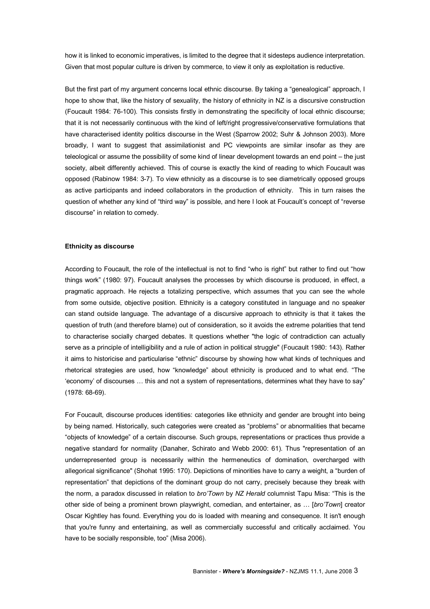how it is linked to economic imperatives, is limited to the degree that it sidesteps audience interpretation. Given that most popular culture is driven by commerce, to view it only as exploitation is reductive.

But the first part of my argument concerns local ethnic discourse. By taking a "genealogical" approach, I hope to show that, like the history of sexuality, the history of ethnicity in NZ is a discursive construction (Foucault 1984: 76-100). This consists firstly in demonstrating the specificity of local ethnic discourse; that it is not necessarily continuous with the kind of left/right progressive/conservative formulations that have characterised identity politics discourse in the West (Sparrow 2002; Suhr & Johnson 2003). More broadly, I want to suggest that assimilationist and PC viewpoints are similar insofar as they are teleological or assume the possibility of some kind of linear development towards an end point – the just society, albeit differently achieved. This of course is exactly the kind of reading to which Foucault was opposed (Rabinow 1984: 37). To view ethnicity as a discourse is to see diametrically opposed groups as active participants and indeed collaborators in the production of ethnicity. This in turn raises the question of whether any kind of "third way" is possible, and here I look at Foucault's concept of "reverse discourse" in relation to comedy.

#### **Ethnicity as discourse**

According to Foucault, the role of the intellectual is not to find "who is right" but rather to find out "how things work" (1980: 97). Foucault analyses the processes by which discourse is produced, in effect, a pragmatic approach. He rejects a totalizing perspective, which assumes that you can see the whole from some outside, objective position. Ethnicity is a category constituted in language and no speaker can stand outside language. The advantage of a discursive approach to ethnicity is that it takes the question of truth (and therefore blame) out of consideration, so it avoids the extreme polarities that tend to characterise socially charged debates. It questions whether "the logic of contradiction can actually serve as a principle of intelligibility and a rule of action in political struggle" (Foucault 1980: 143). Rather it aims to historicise and particularise "ethnic" discourse by showing how what kinds of techniques and rhetorical strategies are used, how "knowledge" about ethnicity is produced and to what end. "The 'economy' of discourses … this and not a system of representations, determines what they have to say"  $(1978: 68-69)$ .

For Foucault, discourse produces identities: categories like ethnicity and gender are brought into being by being named. Historically, such categories were created as "problems" or abnormalities that became "objects of knowledge" of a certain discourse. Such groups, representations or practices thus provide a negative standard for normality (Danaher, Schirato and Webb 2000: 61). Thus "representation of an underrepresented group is necessarily within the hermeneutics of domination, overcharged with allegorical significance" (Shohat 1995: 170). Depictions of minorities have to carry a weight, a "burden of representation" that depictions of the dominant group do not carry, precisely because they break with the norm, a paradox discussed in relation to *bro'Town* by *NZ Herald* columnist Tapu Misa: "This is the other side of being a prominent brown playwright, comedian, and entertainer, as … [*bro'Town*] creator Oscar Kightley has found. Everything you do is loaded with meaning and consequence. It isn't enough that you're funny and entertaining, as well as commercially successful and critically acclaimed. You have to be socially responsible, too" (Misa 2006).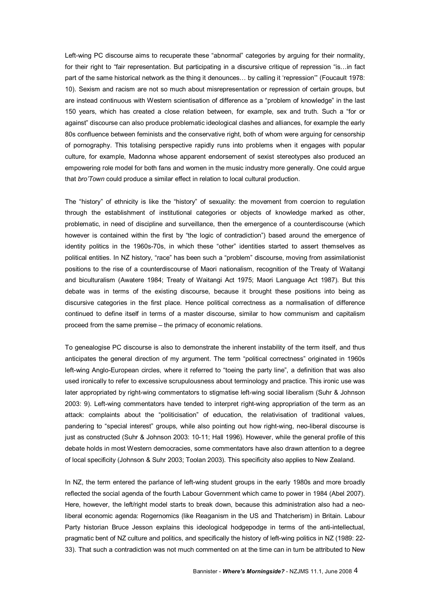Left-wing PC discourse aims to recuperate these "abnormal" categories by arguing for their normality, for their right to "fair representation. But participating in a discursive critique of repression "is…in fact part of the same historical network as the thing it denounces… by calling it 'repression'" (Foucault 1978: 10). Sexism and racism are not so much about misrepresentation or repression of certain groups, but are instead continuous with Western scientisation of difference as a "problem of knowledge" in the last 150 years, which has created a close relation between, for example, sex and truth. Such a "for or against" discourse can also produce problematic ideological clashes and alliances, for example the early 80s confluence between feminists and the conservative right, both of whom were arguing for censorship of pornography. This totalising perspective rapidly runs into problems when it engages with popular culture, for example, Madonna whose apparent endorsement of sexist stereotypes also produced an empowering role model for both fans and women in the music industry more generally. One could argue that *bro'Town* could produce a similar effect in relation to local cultural production.

The "history" of ethnicity is like the "history" of sexuality: the movement from coercion to regulation through the establishment of institutional categories or objects of knowledge marked as other, problematic, in need of discipline and surveillance, then the emergence of a counterdiscourse (which however is contained within the first by "the logic of contradiction") based around the emergence of identity politics in the 1960s-70s, in which these "other" identities started to assert themselves as political entities. In NZ history, "race" has been such a "problem" discourse, moving from assimilationist positions to the rise of a counterdiscourse of Maori nationalism, recognition of the Treaty of Waitangi and biculturalism (Awatere 1984; Treaty of Waitangi Act 1975; Maori Language Act 1987). But this debate was in terms of the existing discourse, because it brought these positions into being as discursive categories in the first place. Hence political correctness as a normalisation of difference continued to define itself in terms of a master discourse, similar to how communism and capitalism proceed from the same premise – the primacy of economic relations.

To genealogise PC discourse is also to demonstrate the inherent instability of the term itself, and thus anticipates the general direction of my argument. The term "political correctness" originated in 1960s left-wing Anglo-European circles, where it referred to "toeing the party line", a definition that was also used ironically to refer to excessive scrupulousness about terminology and practice. This ironic use was later appropriated by right-wing commentators to stigmatise left-wing social liberalism (Suhr & Johnson 2003: 9). Left-wing commentators have tended to interpret right-wing appropriation of the term as an attack: complaints about the "politicisation" of education, the relativisation of traditional values, pandering to "special interest" groups, while also pointing out how right-wing, neo-liberal discourse is just as constructed (Suhr & Johnson 2003: 10-11; Hall 1996). However, while the general profile of this debate holds in most Western democracies, some commentators have also drawn attention to a degree of local specificity (Johnson & Suhr 2003; Toolan 2003). This specificity also applies to New Zealand.

In NZ, the term entered the parlance of left-wing student groups in the early 1980s and more broadly reflected the social agenda of the fourth Labour Government which came to power in 1984 (Abel 2007). Here, however, the left/right model starts to break down, because this administration also had a neo liberal economic agenda: Rogernomics (like Reaganism in the US and Thatcherism) in Britain. Labour Party historian Bruce Jesson explains this ideological hodgepodge in terms of the anti-intellectual, pragmatic bent of NZ culture and politics, and specifically the history of left-wing politics in NZ (1989: 22-33). That such a contradiction was not much commented on at the time can in turn be attributed to New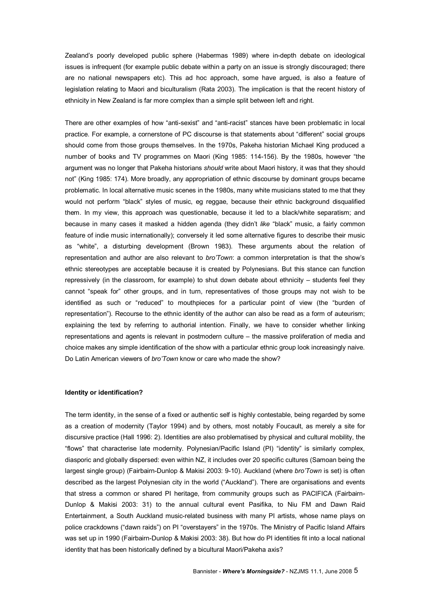Zealand's poorly developed public sphere (Habermas 1989) where in-depth debate on ideological issues is infrequent (for example public debate within a party on an issue is strongly discouraged; there are no national newspapers etc). This ad hoc approach, some have argued, is also a feature of legislation relating to Maori and biculturalism (Rata 2003). The implication is that the recent history of ethnicity in New Zealand is far more complex than a simple split between left and right.

There are other examples of how "anti-sexist" and "anti-racist" stances have been problematic in local practice. For example, a cornerstone of PC discourse is that statements about "different" social groups should come from those groups themselves. In the 1970s, Pakeha historian Michael King produced a number of books and TV programmes on Maori (King 1985: 114-156). By the 1980s, however "the argument was no longer that Pakeha historians *should* write about Maori history, it was that they should not" (King 1985: 174). More broadly, any appropriation of ethnic discourse by dominant groups became problematic. In local alternative music scenes in the 1980s, many white musicians stated to me that they would not perform "black" styles of music, eg reggae, because their ethnic background disqualified them. In my view, this approach was questionable, because it led to a black/white separatism; and because in many cases it masked a hidden agenda (they didn't *like* "black" music, a fairly common feature of indie music internationally); conversely it led some alternative figures to describe their music as "white", a disturbing development (Brown 1983). These arguments about the relation of representation and author are also relevant to *bro'Town*: a common interpretation is that the show's ethnic stereotypes are acceptable because it is created by Polynesians. But this stance can function repressively (in the classroom, for example) to shut down debate about ethnicity – students feel they cannot "speak for" other groups, and in turn, representatives of those groups may not wish to be identified as such or "reduced" to mouthpieces for a particular point of view (the "burden of representation"). Recourse to the ethnic identity of the author can also be read as a form of auteurism; explaining the text by referring to authorial intention. Finally, we have to consider whether linking representations and agents is relevant in postmodern culture – the massive proliferation of media and choice makes any simple identification of the show with a particular ethnic group look increasingly naive. Do Latin American viewers of *bro'Town* know or care who made the show?

# **Identity or identification?**

The term identity, in the sense of a fixed or authentic self is highly contestable, being regarded by some as a creation of modernity (Taylor 1994) and by others, most notably Foucault, as merely a site for discursive practice (Hall 1996: 2). Identities are also problematised by physical and cultural mobility, the "flows" that characterise late modernity. Polynesian/Pacific Island (PI) "identity" is similarly complex, diasporic and globally dispersed: even within NZ, it includes over 20 specific cultures (Samoan being the largest single group) (Fairbairn-Dunlop & Makisi 2003: 9-10). Auckland (where *bro'Town* is set) is often described as the largest Polynesian city in the world ("Auckland"). There are organisations and events that stress a common or shared PI heritage, from community groups such as PACIFICA (Fairbairn-Dunlop & Makisi 2003: 31) to the annual cultural event Pasifika, to Niu FM and Dawn Raid Entertainment, a South Auckland music-related business with many PI artists, whose name plays on police crackdowns ("dawn raids") on PI "overstayers" in the 1970s. The Ministry of Pacific Island Affairs was set up in 1990 (Fairbairn-Dunlop & Makisi 2003: 38). But how do PI identities fit into a local national identity that has been historically defined by a bicultural Maori/Pakeha axis?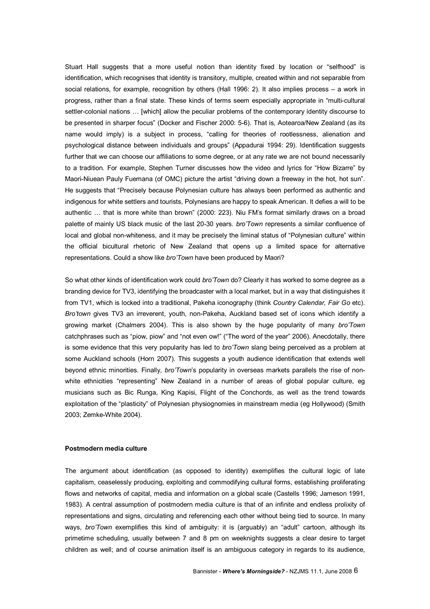Stuart Hall suggests that a more useful notion than identity fixed by location or "selfhood" is identification, which recognises that identity is transitory, multiple, created within and not separable from social relations, for example, recognition by others (Hall 1996: 2). It also implies process – a work in progress, rather than a final state. These kinds of terms seem especially appropriate in "multi-cultural settler-colonial nations ... [which] allow the peculiar problems of the contemporary identity discourse to be presented in sharper focus" (Docker and Fischer 2000: 56). That is, Aotearoa/New Zealand (as its name would imply) is a subject in process, "calling for theories of rootlessness, alienation and psychological distance between individuals and groups" (Appadurai 1994: 29). Identification suggests further that we can choose our affiliations to some degree, or at any rate we are not bound necessarily to a tradition. For example, Stephen Turner discusses how the video and lyrics for "How Bizarre" by Maori-Niuean Pauly Fuemana (of OMC) picture the artist "driving down a freeway in the hot, hot sun". He suggests that "Precisely because Polynesian culture has always been performed as authentic and indigenous for white settlers and tourists, Polynesians are happy to speak American. It defies a will to be authentic … that is more white than brown" (2000: 223). Niu FM's format similarly draws on a broad palette of mainly US black music of the last 20-30 years. *bro'Town* represents a similar confluence of local and global non-whiteness, and it may be precisely the liminal status of "Polynesian culture" within the official bicultural rhetoric of New Zealand that opens up a limited space for alternative representations. Could a show like *bro'Town* have been produced by Maori?

So what other kinds of identification work could *bro'Town* do? Clearly it has worked to some degree as a branding device for TV3, identifying the broadcaster with a local market, but in a way that distinguishes it from TV1, which is locked into a traditional, Pakeha iconography (think *Country Calendar, Fair Go* etc). *Bro'town* gives TV3 an irreverent, youth, non-Pakeha, Auckland based set of icons which identify a growing market (Chalmers 2004). This is also shown by the huge popularity of many *bro'Town* catchphrases such as "piow, piow" and "not even ow!" ("The word of the year" 2006). Anecdotally, there is some evidence that this very popularity has led to *bro'Town* slang being perceived as a problem at some Auckland schools (Horn 2007). This suggests a youth audience identification that extends well beyond ethnic minorities. Finally, *bro'Town*'s popularity in overseas markets parallels the rise of non white ethnicities "representing" New Zealand in a number of areas of global popular culture, eg musicians such as Bic Runga, King Kapisi, Flight of the Conchords, as well as the trend towards exploitation of the "plasticity" of Polynesian physiognomies in mainstream media (eg Hollywood) (Smith 2003; Zemke-White 2004).

### **Postmodern media culture**

The argument about identification (as opposed to identity) exemplifies the cultural logic of late capitalism, ceaselessly producing, exploiting and commodifying cultural forms, establishing proliferating flows and networks of capital, media and information on a global scale (Castells 1996; Jameson 1991, 1983). A central assumption of postmodern media culture is that of an infinite and endless prolixity of representations and signs, circulating and referencing each other without being tied to source. In many ways, *bro'Town* exemplifies this kind of ambiguity: it is (arguably) an "adult" cartoon, although its primetime scheduling, usually between 7 and 8 pm on weeknights suggests a clear desire to target children as well; and of course animation itself is an ambiguous category in regards to its audience,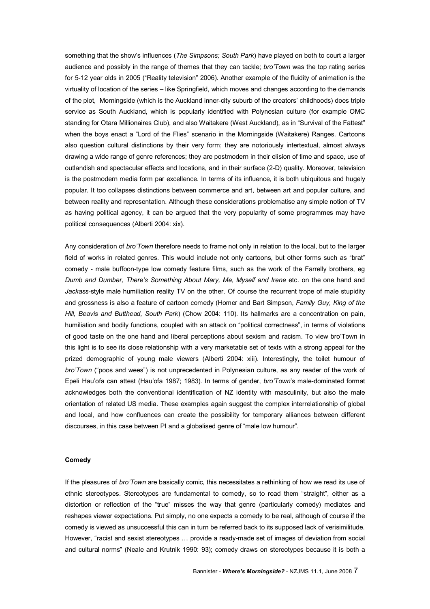something that the show's influences (*The Simpsons; South Park*) have played on both to court a larger audience and possibly in the range of themes that they can tackle; *bro'Town* was the top rating series for 512 year olds in 2005 ("Reality television" 2006). Another example of the fluidity of animation is the virtuality of location of the series – like Springfield, which moves and changes according to the demands of the plot, Morningside (which is the Auckland inner-city suburb of the creators' childhoods) does triple service as South Auckland, which is popularly identified with Polynesian culture (for example OMC standing for Otara Millionaires Club), and also Waitakere (West Auckland), as in "Survival of the Fattest" when the boys enact a "Lord of the Flies" scenario in the Morningside (Waitakere) Ranges. Cartoons also question cultural distinctions by their very form; they are notoriously intertextual, almost always drawing a wide range of genre references; they are postmodern in their elision of time and space, use of outlandish and spectacular effects and locations, and in their surface (2-D) quality. Moreover, television is the postmodern media form par excellence. In terms of its influence, it is both ubiquitous and hugely popular. It too collapses distinctions between commerce and art, between art and popular culture, and between reality and representation. Although these considerations problematise any simple notion of TV as having political agency, it can be argued that the very popularity of some programmes may have political consequences (Alberti 2004: xix).

Any consideration of *bro'Town* therefore needs to frame not only in relation to the local, but to the larger field of works in related genres. This would include not only cartoons, but other forms such as "brat" comedy - male buffoon-type low comedy feature films, such as the work of the Farrelly brothers, eg *Dumb and Dumber, There's Something About Mary, Me, Myself and Irene* etc. on the one hand and *Jackass*style male humiliation reality TV on the other. Of course the recurrent trope of male stupidity and grossness is also a feature of cartoon comedy (Homer and Bart Simpson, *Family Guy, King of the Hill, Beavis and Butthead, South Park*) (Chow 2004: 110). Its hallmarks are a concentration on pain, humiliation and bodily functions, coupled with an attack on "political correctness", in terms of violations of good taste on the one hand and liberal perceptions about sexism and racism. To view bro'Town in this light is to see its close relationship with a very marketable set of texts with a strong appeal for the prized demographic of young male viewers (Alberti 2004: xiii). Interestingly, the toilet humour of *bro'Town* ("poos and wees") is not unprecedented in Polynesian culture, as any reader of the work of Epeli Hau'ofa can attest (Hau'ofa 1987; 1983). In terms of gender, *bro'Town's* male-dominated format acknowledges both the conventional identification of NZ identity with masculinity, but also the male orientation of related US media. These examples again suggest the complex interrelationship of global and local, and how confluences can create the possibility for temporary alliances between different discourses, in this case between PI and a globalised genre of "male low humour".

#### **Comedy**

If the pleasures of *bro'Town* are basically comic, this necessitates a rethinking of how we read its use of ethnic stereotypes. Stereotypes are fundamental to comedy, so to read them "straight", either as a distortion or reflection of the "true" misses the way that genre (particularly comedy) mediates and reshapes viewer expectations. Put simply, no one expects a comedy to be real, although of course if the comedy is viewed as unsuccessful this can in turn be referred back to its supposed lack of verisimilitude. However, "racist and sexist stereotypes ... provide a ready-made set of images of deviation from social and cultural norms" (Neale and Krutnik 1990: 93); comedy draws on stereotypes because it is both a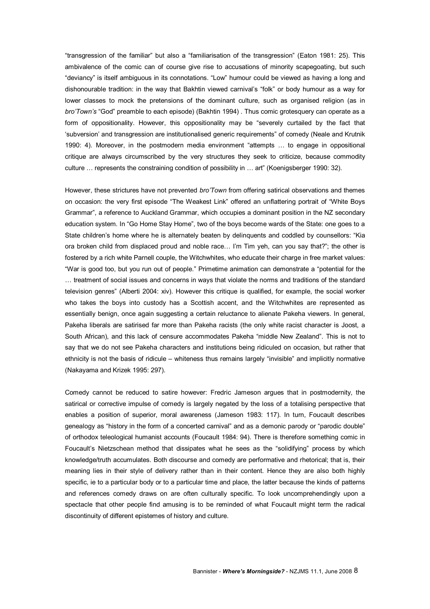"transgression of the familiar" but also a "familiarisation of the transgression" (Eaton 1981: 25). This ambivalence of the comic can of course give rise to accusations of minority scapegoating, but such "deviancy" is itself ambiguous in its connotations. "Low" humour could be viewed as having a long and dishonourable tradition: in the way that Bakhtin viewed carnival's "folk" or body humour as a way for lower classes to mock the pretensions of the dominant culture, such as organised religion (as in *bro'Town's* "God" preamble to each episode) (Bakhtin 1994) . Thus comic grotesquery can operate as a form of oppositionality. However, this oppositionality may be "severely curtailed by the fact that 'subversion' and transgression are institutionalised generic requirements" of comedy (Neale and Krutnik 1990: 4). Moreover, in the postmodern media environment "attempts … to engage in oppositional critique are always circumscribed by the very structures they seek to criticize, because commodity culture … represents the constraining condition of possibility in … art" (Koenigsberger 1990: 32).

However, these strictures have not prevented *bro'Town* from offering satirical observations and themes on occasion: the very first episode "The Weakest Link" offered an unflattering portrait of "White Boys Grammar", a reference to Auckland Grammar, which occupies a dominant position in the NZ secondary education system. In "Go Home Stay Home", two of the boys become wards of the State: one goes to a State children's home where he is alternately beaten by delinquents and coddled by counsellors: "Kia ora broken child from displaced proud and noble race… I'm Tim yeh, can you say that?"; the other is fostered by a rich white Parnell couple, the Witchwhites, who educate their charge in free market values: "War is good too, but you run out of people." Primetime animation can demonstrate a "potential for the … treatment of social issues and concerns in ways that violate the norms and traditions of the standard television genres" (Alberti 2004: xiv). However this critique is qualified, for example, the social worker who takes the boys into custody has a Scottish accent, and the Witchwhites are represented as essentially benign, once again suggesting a certain reluctance to alienate Pakeha viewers. In general, Pakeha liberals are satirised far more than Pakeha racists (the only white racist character is Joost, a South African), and this lack of censure accommodates Pakeha "middle New Zealand". This is not to say that we do not see Pakeha characters and institutions being ridiculed on occasion, but rather that ethnicity is not the basis of ridicule – whiteness thus remains largely "invisible" and implicitly normative (Nakayama and Krizek 1995: 297).

Comedy cannot be reduced to satire however: Fredric Jameson argues that in postmodernity, the satirical or corrective impulse of comedy is largely negated by the loss of a totalising perspective that enables a position of superior, moral awareness (Jameson 1983: 117). In turn, Foucault describes genealogy as "history in the form of a concerted carnival" and as a demonic parody or "parodic double" of orthodox teleological humanist accounts (Foucault 1984: 94). There is therefore something comic in Foucault's Nietzschean method that dissipates what he sees as the "solidifying" process by which knowledge/truth accumulates. Both discourse and comedy are performative and rhetorical; that is, their meaning lies in their style of delivery rather than in their content. Hence they are also both highly specific, ie to a particular body or to a particular time and place, the latter because the kinds of patterns and references comedy draws on are often culturally specific. To look uncomprehendingly upon a spectacle that other people find amusing is to be reminded of what Foucault might term the radical discontinuity of different epistemes of history and culture.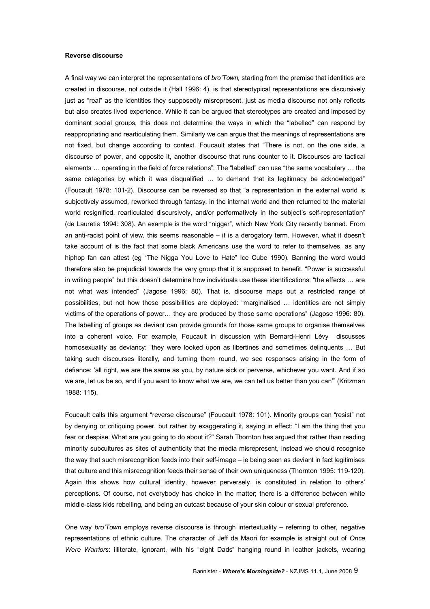#### **Reverse discourse**

A final way we can interpret the representations of *bro'Town,* starting from the premise that identities are created in discourse, not outside it(Hall 1996: 4), is that stereotypical representations are discursively just as "real" as the identities they supposedly misrepresent, just as media discourse not only reflects but also creates lived experience. While it can be argued that stereotypes are created and imposed by dominant social groups, this does not determine the ways in which the "labelled" can respond by reappropriating and rearticulating them. Similarly we can argue that the meanings of representations are not fixed, but change according to context. Foucault states that "There is not, on the one side, a discourse of power, and opposite it, another discourse that runs counter to it. Discourses are tactical elements … operating in the field of force relations". The "labelled" can use "the same vocabulary … the same categories by which it was disqualified ... to demand that its legitimacy be acknowledged" (Foucault 1978: 1012). Discourse can be reversed so that "a representation in the external world is subjectively assumed, reworked through fantasy, in the internal world and then returned to the material world resignified, rearticulated discursively, and/or performatively in the subject's self-representation" (de Lauretis 1994: 308). An example is the word "nigger", which New York City recently banned. From an anti-racist point of view, this seems reasonable – it is a derogatory term. However, what it doesn't take account of is the fact that some black Americans use the word to refer to themselves, as any hiphop fan can attest (eg "The Nigga You Love to Hate" Ice Cube 1990). Banning the word would therefore also be prejudicial towards the very group that it is supposed to benefit. "Power is successful in writing people" but this doesn't determine how individuals use these identifications: "the effects … are not what was intended" (Jagose 1996: 80). That is, discourse maps out a restricted range of possibilities, but not how these possibilities are deployed: "marginalised … identities are not simply victims of the operations of power… they are produced by those same operations" (Jagose 1996: 80). The labelling of groups as deviant can provide grounds for those same groups to organise themselves into a coherent voice. For example, Foucault in discussion with Bernard-Henri Lévy discusses homosexuality as deviancy: "they were looked upon as libertines and sometimes delinquents ... But taking such discourses literally, and turning them round, we see responses arising in the form of defiance: 'all right, we are the same as you, by nature sick or perverse, whichever you want. And if so we are, let us be so, and if you want to know what we are, we can tell us better than you can'" (Kritzman 1988: 115).

Foucault calls this argument "reverse discourse" (Foucault 1978: 101). Minority groups can "resist" not by denying or critiquing power, but rather by exaggerating it, saying in effect: "I am the thing that you fear or despise. What are you going to do about it?" Sarah Thornton has argued that rather than reading minority subcultures as sites of authenticity that the media misrepresent, instead we should recognise the way that such misrecognition feeds into their self-image – ie being seen as deviant in fact legitimises that culture and this misrecognition feeds their sense of their own uniqueness (Thornton 1995: 119-120). Again this shows how cultural identity, however perversely, is constituted in relation to others' perceptions. Of course, not everybody has choice in the matter; there is a difference between white middle-class kids rebelling, and being an outcast because of your skin colour or sexual preference.

One way *bro'Town* employs reverse discourse is through intertextuality – referring to other, negative representations of ethnic culture. The character of Jeff da Maori for example is straight out of *Once Were Warriors*: illiterate, ignorant, with his "eight Dads" hanging round in leather jackets, wearing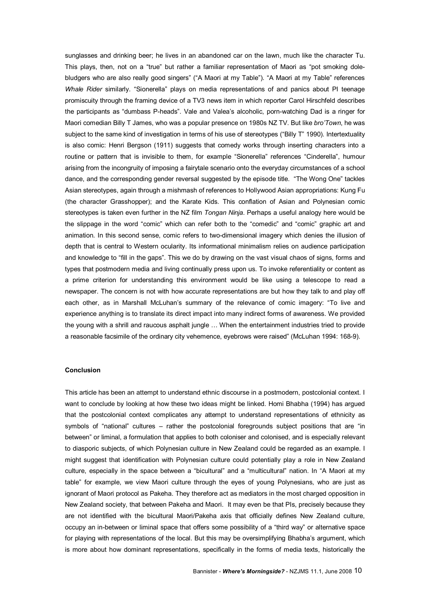sunglasses and drinking beer; he lives in an abandoned car on the lawn, much like the character Tu. This plays, then, not on a "true" but rather a familiar representation of Maori as "pot smoking dolebludgers who are also really good singers" ("A Maori at my Table"). "A Maori at my Table" references *Whale Rider* similarly. "Sionerella" plays on media representations of and panics about PI teenage promiscuity through the framing device of a TV3 news item in which reporter Carol Hirschfeld describes the participants as "dumbass P-heads". Vale and Valea's alcoholic, porn-watching Dad is a ringer for Maori comedian Billy T James, who was a popular presence on 1980s NZ TV. But like *bro'Town*, he was subject to the same kind of investigation in terms of his use of stereotypes ("Billy T" 1990). Intertextuality is also comic: Henri Bergson (1911) suggests that comedy works through inserting characters into a routine or pattern that is invisible to them, for example "Sionerella" references "Cinderella", humour arising from the incongruity of imposing a fairytale scenario onto the everyday circumstances of a school dance, and the corresponding gender reversal suggested by the episode title. "The Wong One" tackles Asian stereotypes, again through a mishmash of references to Hollywood Asian appropriations: Kung Fu (the character Grasshopper); and the Karate Kids. This conflation of Asian and Polynesian comic stereotypes is taken even further in the NZ film *Tongan Ninja*. Perhaps a useful analogy here would be the slippage in the word "comic" which can refer both to the "comedic" and "comic" graphic art and animation. In this second sense, comic refers to two-dimensional imagery which denies the illusion of depth that is central to Western ocularity. Its informational minimalism relies on audience participation and knowledge to "fill in the gaps". This we do by drawing on the vast visual chaos of signs, forms and types that postmodern media and living continually press upon us. To invoke referentiality or content as a prime criterion for understanding this environment would be like using a telescope to read a newspaper. The concern is not with how accurate representations are but how they talk to and play off each other, as in Marshall McLuhan's summary of the relevance of comic imagery: "To live and experience anything is to translate its direct impact into many indirect forms of awareness. We provided the young with a shrill and raucous asphalt jungle … When the entertainment industries tried to provide a reasonable facsimile of the ordinary city vehemence, eyebrows were raised" (McLuhan 1994: 1689).

# **Conclusion**

This article has been an attempt to understand ethnic discourse in a postmodern, postcolonial context. I want to conclude by looking at how these two ideas might be linked. Homi Bhabha (1994) has argued that the postcolonial context complicates any attempt to understand representations of ethnicity as symbols of "national" cultures – rather the postcolonial foregrounds subject positions that are "in between" or liminal, a formulation that applies to both coloniser and colonised, and is especially relevant to diasporic subjects, of which Polynesian culture in New Zealand could be regarded as an example. I might suggest that identification with Polynesian culture could potentially play a role in New Zealand culture, especially in the space between a "bicultural" and a "multicultural" nation. In "A Maori at my table" for example, we view Maori culture through the eyes of young Polynesians, who are just as ignorant of Maori protocol as Pakeha. They therefore act as mediators in the most charged opposition in New Zealand society, that between Pakeha and Maori. It may even be that PIs, precisely because they are not identified with the bicultural Maori/Pakeha axis that officially defines New Zealand culture, occupy an inbetween or liminal space that offers some possibility of a "third way" or alternative space for playing with representations of the local. But this may be oversimplifying Bhabha's argument, which is more about how dominant representations, specifically in the forms of media texts, historically the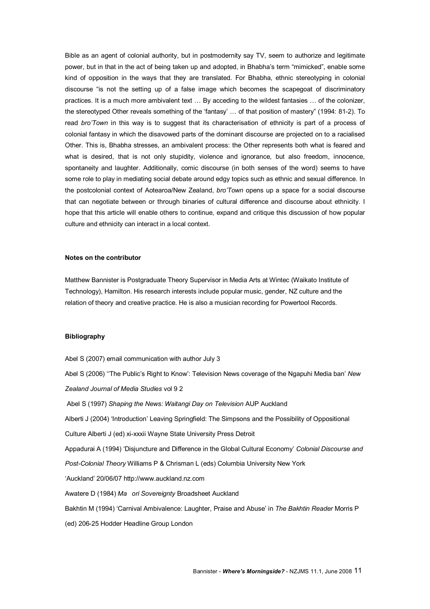Bible as an agent of colonial authority, but in postmodernity say TV, seem to authorize and legitimate power, but in that in the act of being taken up and adopted, in Bhabha's term "mimicked", enable some kind of opposition in the ways that they are translated. For Bhabha, ethnic stereotyping in colonial discourse "is not the setting up of a false image which becomes the scapegoat of discriminatory practices. It is a much more ambivalent text … By acceding to the wildest fantasies … of the colonizer, the stereotyped Other reveals something of the 'fantasy' ... of that position of mastery" (1994: 81-2). To read *bro'Town* in this way is to suggest that its characterisation of ethnicity is part of a process of colonial fantasy in which the disavowed parts of the dominant discourse are projected on to a racialised Other. This is, Bhabha stresses, an ambivalent process: the Other represents both what is feared and what is desired, that is not only stupidity, violence and ignorance, but also freedom, innocence, spontaneity and laughter. Additionally, comic discourse (in both senses of the word) seems to have some role to play in mediating social debate around edgy topics such as ethnic and sexual difference. In the postcolonial context of Aotearoa/New Zealand, *bro'Town* opens up a space for a social discourse that can negotiate between or through binaries of cultural difference and discourse about ethnicity. I hope that this article will enable others to continue, expand and critique this discussion of how popular culture and ethnicity can interact in a local context.

#### **Notes on the contributor**

Matthew Bannister is Postgraduate Theory Supervisor in Media Arts at Wintec (Waikato Institute of Technology), Hamilton. His research interests include popular music, gender, NZ culture and the relation of theory and creative practice. He is also a musician recording for Powertool Records.

#### **Bibliography**

Abel S (2007) email communication with author July 3 Abel S (2006) ''The Public's Right to Know': Television News coverage of the Ngapuhi Media ban' *New Zealand Journal of Media Studies* vol 9 2 Abel S (1997) *Shaping the News: Waitangi Day on Television* AUP Auckland Alberti J (2004) 'Introduction' Leaving Springfield: The Simpsons and the Possibility of Oppositional Culture Alberti J (ed) xi-xxxii Wayne State University Press Detroit Appadurai A (1994) 'Disjuncture and Difference in the Global Cultural Economy' *Colonial Discourse and*  **Post-Colonial Theory Williams P & Chrisman L (eds) Columbia University New York** 'Auckland' 20/06/07 http://www.auckland.nz.com Awatere D (1984) *Ma ori Sovereignty* Broadsheet Auckland Bakhtin M (1994) 'Carnival Ambivalence: Laughter, Praise and Abuse' in *The Bakhtin Reader* Morris P (ed) 206-25 Hodder Headline Group London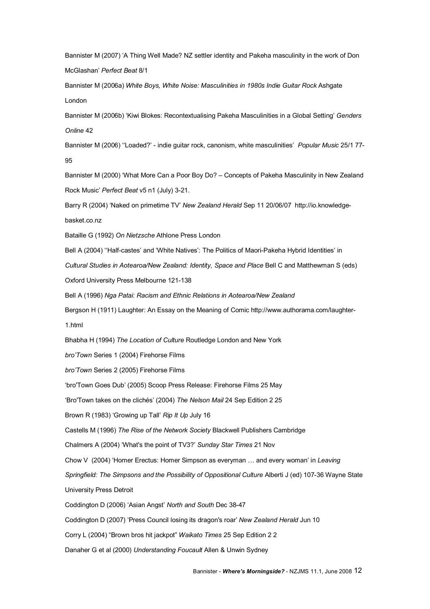Bannister M (2007) 'A Thing Well Made? NZ settler identity and Pakeha masculinity in the work of Don McGlashan' *Perfect Beat* 8/1

Bannister M (2006a) *White Boys, White Noise: Masculinities in 1980s Indie Guitar Rock* Ashgate London

Bannister M (2006b) 'Kiwi Blokes: Recontextualising Pakeha Masculinities in a Global Setting' *Genders Online* 42

Bannister M (2006) ''Loaded?' indie guitar rock, canonism, white masculinities' *Popular Music* 25/1 77 95

Bannister M (2000) 'What More Can a Poor Boy Do? – Concepts of Pakeha Masculinity in New Zealand Rock Music' Perfect Beat v5 n1 (July) 3-21.

Barry R (2004) 'Naked on primetime TV' *New Zealand Herald* Sep 11 20/06/07 http://io.knowledgebasket.co.nz

Bataille G (1992) *On Nietzsche* Athlone Press London

Bell A (2004) "Half-castes' and 'White Natives': The Politics of Maori-Pakeha Hybrid Identities' in

*Cultural Studies in Aotearoa/New Zealand: Identity, Space and Place* Bell C and Matthewman S (eds)

Oxford University Press Melbourne 121-138

Bell A (1996) *Nga Patai: Racism and Ethnic Relations in Aotearoa/New Zealand*

Bergson H (1911) Laughter: An Essay on the Meaning of Comic http://www.authorama.com/laughter-

1.html

Bhabha H (1994) *The Location of Culture* Routledge London and New York

*bro'Town* Series 1 (2004) Firehorse Films

*bro'Town* Series 2 (2005) Firehorse Films

'bro'Town Goes Dub' (2005) Scoop Press Release: Firehorse Films 25 May

'Bro'Town takes on the clichés' (2004) *The Nelson Mail* 24 Sep Edition 2 25

Brown R (1983) 'Growing up Tall' *Rip It Up* July 16

Castells M (1996) *The Rise of the Network Society* Blackwell Publishers Cambridge

Chalmers A (2004) 'What's the point of TV3?' *Sunday Star Times* 21 Nov

Chow V (2004) 'Homer Erectus: Homer Simpson as everyman … and every woman' in *Leaving* 

*Springfield: The Simpsons and the Possibility of Oppositional Culture* Alberti J (ed) 10736 Wayne State

University Press Detroit

Coddington D (2006) 'Asian Angst' *North and South* Dec 3847

Coddington D (2007) 'Press Council losing its dragon's roar' *New Zealand Herald* Jun 10

Corry L (2004) "Brown bros hit jackpot" *Waikato Times* 25 Sep Edition 2 2

Danaher G et al (2000) *Understanding Foucault* Allen & Unwin Sydney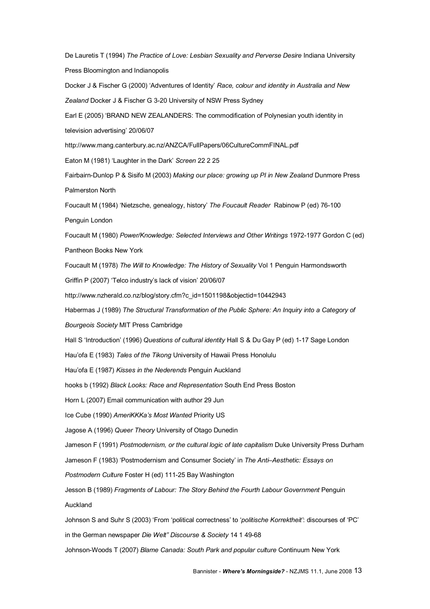De Lauretis T (1994) *The Practice of Love: Lesbian Sexuality and Perverse Desire* Indiana University Press Bloomington and Indianopolis

Docker J & Fischer G (2000) 'Adventures of Identity' *Race, colour and identity in Australia and New* **Zealand Docker J & Fischer G 3-20 University of NSW Press Sydney** 

Earl E (2005) 'BRAND NEW ZEALANDERS: The commodification of Polynesian youth identity in

television advertising' 20/06/07

http://www.mang.canterbury.ac.nz/ANZCA/FullPapers/06CultureCommFINAL.pdf

Eaton M (1981) 'Laughter in the Dark' *Screen* 22 2 25

Fairbairn-Dunlop P & Sisifo M (2003) Making our place: growing up PI in New Zealand Dunmore Press Palmerston North

Foucault M (1984) 'Nietzsche, genealogy, history' *The Foucault Reader* Rabinow P (ed) 76100

Penguin London

Foucault M (1980) Power/Knowledge: Selected Interviews and Other Writings 1972-1977 Gordon C (ed) Pantheon Books New York

Foucault M (1978) *The Will to Knowledge: The History of Sexuality* Vol 1 Penguin Harmondsworth

Griffin P (2007) 'Telco industry's lack of vision' 20/06/07

http://www.nzherald.co.nz/blog/story.cfm?c\_id=1501198&objectid=10442943

Habermas J (1989) *The Structural Transformation of the Public Sphere: An Inquiry into a Category of*

*Bourgeois Society* MIT Press Cambridge

Hall S 'Introduction' (1996) Questions of cultural *identity* Hall S & Du Gay P (ed) 1-17 Sage London

Hau'ofa E (1983) *Tales of the Tikong* University of Hawaii Press Honolulu

Hau'ofa E (1987) *Kisses in the Nederends* Penguin Auckland

hooks b (1992) *Black Looks: Race and Representation* South End Press Boston

Horn L (2007) Email communication with author 29 Jun

Ice Cube (1990) *AmeriKKKa's Most Wanted* Priority US

Jagose A (1996) *Queer Theory* University of Otago Dunedin

Jameson F (1991) *Postmodernism, or the cultural logic of late capitalism* Duke University Press Durham

Jameson F (1983) 'Postmodernism and Consumer Society' in *The Anti–Aesthetic: Essays on* 

*Postmodern Culture* Foster H (ed) 11125 Bay Washington

Jesson B (1989) *Fragments of Labour: The Story Behind the Fourth Labour Government* Penguin

Auckland

Johnson S and Suhr S (2003) 'From 'political correctness' to '*politische Korrektheit'*: discourses of 'PC'

in the German newspaper *Die Welt" Discourse & Society* 14 1 4968

JohnsonWoods T (2007) *Blame Canada: South Park and popular culture* Continuum New York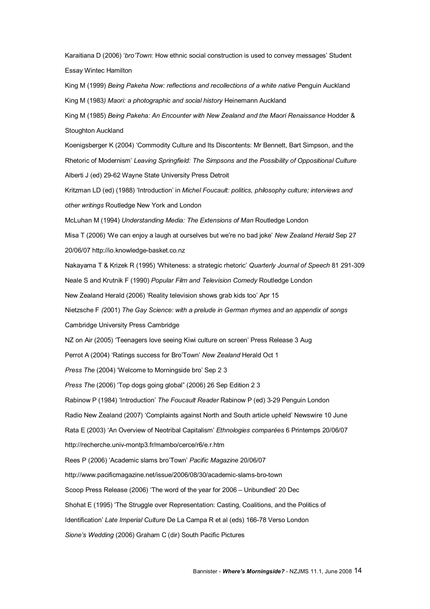Karaitiana D (2006) '*bro'Town*: How ethnic social construction is used to convey messages' Student Essay Wintec Hamilton

King M (1999) *Being Pakeha Now: reflections and recollections of a white native* Penguin Auckland King M (1983*) Maori: a photographic and social history* Heinemann Auckland

King M (1985) *Being Pakeha: An Encounter with New Zealand and the Maori Renaissance* Hodder & Stoughton Auckland

Koenigsberger K (2004) 'Commodity Culture and Its Discontents: Mr Bennett, Bart Simpson, and the Rhetoric of Modernism' *Leaving Springfield: The Simpsons and the Possibility of Oppositional Culture* Alberti J (ed) 29-62 Wayne State University Press Detroit

Kritzman LD (ed) (1988) 'Introduction' in *Michel Foucault: politics, philosophy culture; interviews and other writings* Routledge New York and London

McLuhan M (1994) *Understanding Media: The Extensions of Man* Routledge London

Misa T (2006) 'We can enjoy a laugh at ourselves but we're no bad joke' *New Zealand Herald* Sep 27 20/06/07 http://io.knowledge-basket.co.nz

Nakayama T & Krizek R (1995) 'Whiteness: a strategic rhetoric' *Quarterly Journal of Speech* 81 291309 Neale S and Krutnik F (1990) *Popular Film and Television Comedy* Routledge London

New Zealand Herald (2006) 'Reality television shows grab kids too' Apr 15

Nietzsche F *(*2001) *The Gay Science: with a prelude in German rhymes and an appendix of songs*

Cambridge University Press Cambridge

NZ on Air (2005) 'Teenagers love seeing Kiwi culture on screen' Press Release 3 Aug

Perrot A (2004) 'Ratings success for Bro'Town' *New Zealand* Herald Oct 1

*Press The* (2004) 'Welcome to Morningside bro' Sep 2 3

*Press The* (2006) 'Top dogs going global" (2006) 26 Sep Edition 2 3

Rabinow P (1984) 'Introduction' *The Foucault Reader* Rabinow P (ed) 329 Penguin London

Radio New Zealand (2007) 'Complaints against North and South article upheld' Newswire 10 June

Rata E (2003) 'An Overview of Neotribal Capitalism' *Ethnologies comparées* 6 Printemps 20/06/07

http://recherche.univ-montp3.fr/mambo/cerce/r6/e.r.htm

Rees P (2006) 'Academic slams bro'Town' *Pacific Magazine* 20/06/07

http://www.pacificmagazine.net/issue/2006/08/30/academic-slams-bro-town

Scoop Press Release (2006) 'The word of the year for 2006 – Unbundled' 20 Dec

Shohat E (1995) 'The Struggle over Representation: Casting, Coalitions, and the Politics of

Identification' Late *Imperial Culture* De La Campa R et al (eds) 166-78 Verso London

*Sione's Wedding* (2006) Graham C (dir) South Pacific Pictures